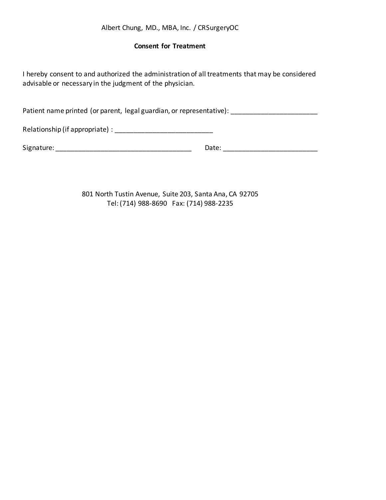# Albert Chung, MD., MBA, Inc. / CRSurgeryOC

## **Consent for Treatment**

I hereby consent to and authorized the administration of all treatments that may be considered advisable or necessary in the judgment of the physician.

Patient name printed (or parent, legal guardian, or representative): \_\_\_\_\_\_\_\_\_\_\_\_\_\_\_\_\_\_\_\_\_\_\_

Relationship (if appropriate) : \_\_\_\_\_\_\_\_\_\_\_\_\_\_\_\_\_\_\_\_\_\_\_\_\_\_

Signature: \_\_\_\_\_\_\_\_\_\_\_\_\_\_\_\_\_\_\_\_\_\_\_\_\_\_\_\_\_\_\_\_\_\_\_\_ Date: \_\_\_\_\_\_\_\_\_\_\_\_\_\_\_\_\_\_\_\_\_\_\_\_\_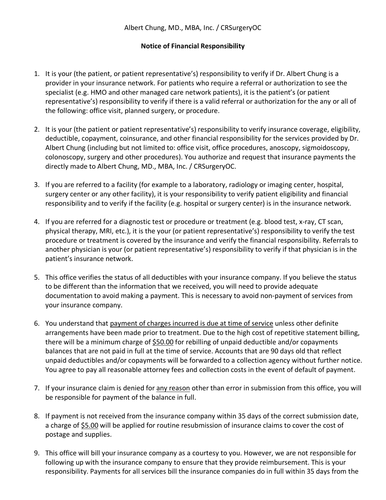## **Notice of Financial Responsibility**

- 1. It is your (the patient, or patient representative's) responsibility to verify if Dr. Albert Chung is a provider in your insurance network. For patients who require a referral or authorization to see the specialist (e.g. HMO and other managed care network patients), it is the patient's (or patient representative's) responsibility to verify if there is a valid referral or authorization for the any or all of the following: office visit, planned surgery, or procedure.
- 2. It is your (the patient or patient representative's) responsibility to verify insurance coverage, eligibility, deductible, copayment, coinsurance, and other financial responsibility for the services provided by Dr. Albert Chung (including but not limited to: office visit, office procedures, anoscopy, sigmoidoscopy, colonoscopy, surgery and other procedures). You authorize and request that insurance payments the directly made to Albert Chung, MD., MBA, Inc. / CRSurgeryOC.
- 3. If you are referred to a facility (for example to a laboratory, radiology or imaging center, hospital, surgery center or any other facility), it is your responsibility to verify patient eligibility and financial responsibility and to verify if the facility (e.g. hospital or surgery center) is in the insurance network.
- 4. If you are referred for a diagnostic test or procedure or treatment (e.g. blood test, x-ray, CT scan, physical therapy, MRI, etc.), it is the your (or patient representative's) responsibility to verify the test procedure or treatment is covered by the insurance and verify the financial responsibility. Referrals to another physician is your (or patient representative's) responsibility to verify if that physician is in the patient's insurance network.
- 5. This office verifies the status of all deductibles with your insurance company. If you believe the status to be different than the information that we received, you will need to provide adequate documentation to avoid making a payment. This is necessary to avoid non-payment of services from your insurance company.
- 6. You understand that payment of charges incurred is due at time of service unless other definite arrangements have been made prior to treatment. Due to the high cost of repetitive statement billing, there will be a minimum charge of \$50.00 for rebilling of unpaid deductible and/or copayments balances that are not paid in full at the time of service. Accounts that are 90 days old that reflect unpaid deductibles and/or copayments will be forwarded to a collection agency without further notice. You agree to pay all reasonable attorney fees and collection costs in the event of default of payment.
- 7. If your insurance claim is denied for any reason other than error in submission from this office, you will be responsible for payment of the balance in full.
- 8. If payment is not received from the insurance company within 35 days of the correct submission date, a charge of \$5.00 will be applied for routine resubmission of insurance claims to cover the cost of postage and supplies.
- 9. This office will bill your insurance company as a courtesy to you. However, we are not responsible for following up with the insurance company to ensure that they provide reimbursement. This is your responsibility. Payments for all services bill the insurance companies do in full within 35 days from the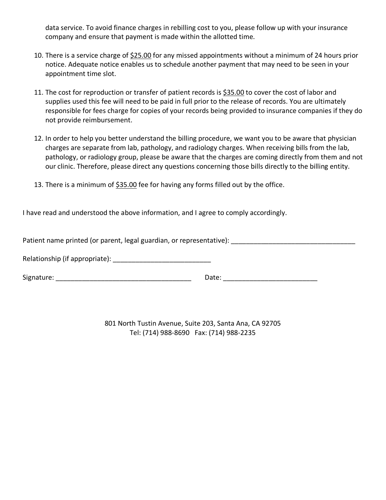data service. To avoid finance charges in rebilling cost to you, please follow up with your insurance company and ensure that payment is made within the allotted time.

- 10. There is a service charge of \$25.00 for any missed appointments without a minimum of 24 hours prior notice. Adequate notice enables us to schedule another payment that may need to be seen in your appointment time slot.
- 11. The cost for reproduction or transfer of patient records is \$35.00 to cover the cost of labor and supplies used this fee will need to be paid in full prior to the release of records. You are ultimately responsible for fees charge for copies of your records being provided to insurance companies if they do not provide reimbursement.
- 12. In order to help you better understand the billing procedure, we want you to be aware that physician charges are separate from lab, pathology, and radiology charges. When receiving bills from the lab, pathology, or radiology group, please be aware that the charges are coming directly from them and not our clinic. Therefore, please direct any questions concerning those bills directly to the billing entity.
- 13. There is a minimum of  $$35.00$  fee for having any forms filled out by the office.

I have read and understood the above information, and I agree to comply accordingly.

Patient name printed (or parent, legal guardian, or representative): \_\_\_\_\_\_\_\_\_\_\_\_\_\_\_\_\_\_\_\_\_\_\_\_\_\_\_\_\_\_\_\_\_

Relationship (if appropriate): \_\_\_\_\_\_\_\_\_\_\_\_\_\_\_\_\_\_\_\_\_\_\_\_\_\_

Signature: \_\_\_\_\_\_\_\_\_\_\_\_\_\_\_\_\_\_\_\_\_\_\_\_\_\_\_\_\_\_\_\_\_\_\_\_ Date: \_\_\_\_\_\_\_\_\_\_\_\_\_\_\_\_\_\_\_\_\_\_\_\_\_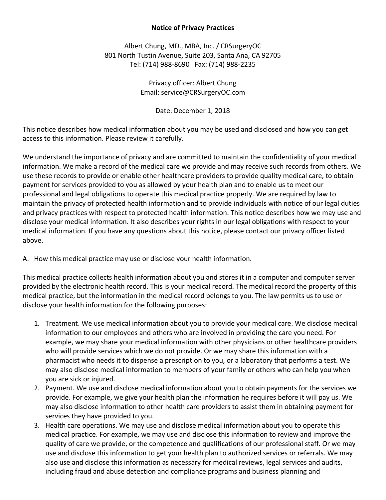# **Notice of Privacy Practices**

Albert Chung, MD., MBA, Inc. / CRSurgeryOC 801 North Tustin Avenue, Suite 203, Santa Ana, CA 92705 Tel: (714) 988-8690 Fax: (714) 988-2235

> Privacy officer: Albert Chung Email: service@CRSurgeryOC.com

> > Date: December 1, 2018

This notice describes how medical information about you may be used and disclosed and how you can get access to this information. Please review it carefully.

We understand the importance of privacy and are committed to maintain the confidentiality of your medical information. We make a record of the medical care we provide and may receive such records from others. We use these records to provide or enable other healthcare providers to provide quality medical care, to obtain payment for services provided to you as allowed by your health plan and to enable us to meet our professional and legal obligations to operate this medical practice properly. We are required by law to maintain the privacy of protected health information and to provide individuals with notice of our legal duties and privacy practices with respect to protected health information. This notice describes how we may use and disclose your medical information. It also describes your rights in our legal obligations with respect to your medical information. If you have any questions about this notice, please contact our privacy officer listed above.

A. How this medical practice may use or disclose your health information.

This medical practice collects health information about you and stores it in a computer and computer server provided by the electronic health record. This is your medical record. The medical record the property of this medical practice, but the information in the medical record belongs to you. The law permits us to use or disclose your health information for the following purposes:

- 1. Treatment. We use medical information about you to provide your medical care. We disclose medical information to our employees and others who are involved in providing the care you need. For example, we may share your medical information with other physicians or other healthcare providers who will provide services which we do not provide. Or we may share this information with a pharmacist who needs it to dispense a prescription to you, or a laboratory that performs a test. We may also disclose medical information to members of your family or others who can help you when you are sick or injured.
- 2. Payment. We use and disclose medical information about you to obtain payments for the services we provide. For example, we give your health plan the information he requires before it will pay us. We may also disclose information to other health care providers to assist them in obtaining payment for services they have provided to you.
- 3. Health care operations. We may use and disclose medical information about you to operate this medical practice. For example, we may use and disclose this information to review and improve the quality of care we provide, or the competence and qualifications of our professional staff. Or we may use and disclose this information to get your health plan to authorized services or referrals. We may also use and disclose this information as necessary for medical reviews, legal services and audits, including fraud and abuse detection and compliance programs and business planning and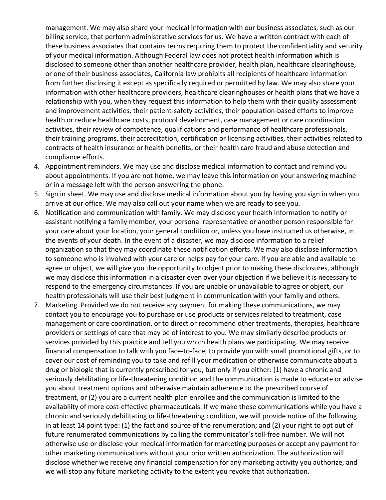management. We may also share your medical information with our business associates, such as our billing service, that perform administrative services for us. We have a written contract with each of these business associates that contains terms requiring them to protect the confidentiality and security of your medical information. Although Federal law does not protect health information which is disclosed to someone other than another healthcare provider, health plan, healthcare clearinghouse, or one of their business associates, California law prohibits all recipients of healthcare information from further disclosing it except as specifically required or permitted by law. We may also share your information with other healthcare providers, healthcare clearinghouses or health plans that we have a relationship with you, when they request this information to help them with their quality assessment and improvement activities, their patient-safety activities, their population-based efforts to improve health or reduce healthcare costs, protocol development, case management or care coordination activities, their review of competence, qualifications and performance of healthcare professionals, their training programs, their accreditation, certification or licensing activities, their activities related to contracts of health insurance or health benefits, or their health care fraud and abuse detection and compliance efforts.

- 4. Appointment reminders. We may use and disclose medical information to contact and remind you about appointments. If you are not home, we may leave this information on your answering machine or in a message left with the person answering the phone.
- 5. Sign in sheet. We may use and disclose medical information about you by having you sign in when you arrive at our office. We may also call out your name when we are ready to see you.
- 6. Notification and communication with family. We may disclose your health information to notify or assistant notifying a family member, your personal representative or another person responsible for your care about your location, your general condition or, unless you have instructed us otherwise, in the events of your death. In the event of a disaster, we may disclose information to a relief organization so that they may coordinate these notification efforts. We may also disclose information to someone who is involved with your care or helps pay for your care. If you are able and available to agree or object, we will give you the opportunity to object prior to making these disclosures, although we may disclose this information in a disaster even over your objection if we believe it is necessary to respond to the emergency circumstances. If you are unable or unavailable to agree or object, our health professionals will use their best judgment in communication with your family and others.
- 7. Marketing. Provided we do not receive any payment for making these communications, we may contact you to encourage you to purchase or use products or services related to treatment, case management or care coordination, or to direct or recommend other treatments, therapies, healthcare providers or settings of care that may be of interest to you. We may similarly describe products or services provided by this practice and tell you which health plans we participating. We may receive financial compensation to talk with you face-to-face, to provide you with small promotional gifts, or to cover our cost of reminding you to take and refill your medication or otherwise communicate about a drug or biologic that is currently prescribed for you, but only if you either: (1) have a chronic and seriously debilitating or life-threatening condition and the communication is made to educate or advise you about treatment options and otherwise maintain adherence to the prescribed course of treatment, or (2) you are a current health plan enrollee and the communication is limited to the availability of more cost-effective pharmaceuticals. If we make these communications while you have a chronic and seriously debilitating or life-threatening condition, we will provide notice of the following in at least 14 point type: (1) the fact and source of the renumeration; and (2) your right to opt out of future renumerated communications by calling the communicator's toll-free number. We will not otherwise use or disclose your medical information for marketing purposes or accept any payment for other marketing communications without your prior written authorization. The authorization will disclose whether we receive any financial compensation for any marketing activity you authorize, and we will stop any future marketing activity to the extent you revoke that authorization.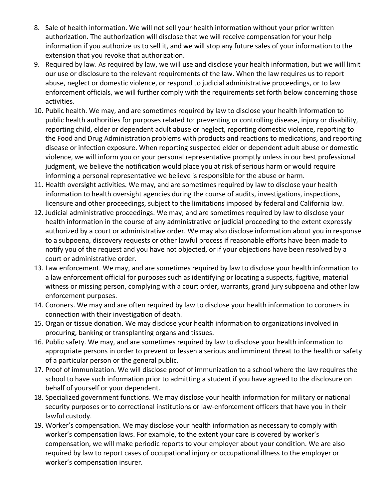- 8. Sale of health information. We will not sell your health information without your prior written authorization. The authorization will disclose that we will receive compensation for your help information if you authorize us to sell it, and we will stop any future sales of your information to the extension that you revoke that authorization.
- 9. Required by law. As required by law, we will use and disclose your health information, but we will limit our use or disclosure to the relevant requirements of the law. When the law requires us to report abuse, neglect or domestic violence, or respond to judicial administrative proceedings, or to law enforcement officials, we will further comply with the requirements set forth below concerning those activities.
- 10. Public health. We may, and are sometimes required by law to disclose your health information to public health authorities for purposes related to: preventing or controlling disease, injury or disability, reporting child, elder or dependent adult abuse or neglect, reporting domestic violence, reporting to the Food and Drug Administration problems with products and reactions to medications, and reporting disease or infection exposure. When reporting suspected elder or dependent adult abuse or domestic violence, we will inform you or your personal representative promptly unless in our best professional judgment, we believe the notification would place you at risk of serious harm or would require informing a personal representative we believe is responsible for the abuse or harm.
- 11. Health oversight activities. We may, and are sometimes required by law to disclose your health information to health oversight agencies during the course of audits, investigations, inspections, licensure and other proceedings, subject to the limitations imposed by federal and California law.
- 12. Judicial administrative proceedings. We may, and are sometimes required by law to disclose your health information in the course of any administrative or judicial proceeding to the extent expressly authorized by a court or administrative order. We may also disclose information about you in response to a subpoena, discovery requests or other lawful process if reasonable efforts have been made to notify you of the request and you have not objected, or if your objections have been resolved by a court or administrative order.
- 13. Law enforcement. We may, and are sometimes required by law to disclose your health information to a law enforcement official for purposes such as identifying or locating a suspects, fugitive, material witness or missing person, complying with a court order, warrants, grand jury subpoena and other law enforcement purposes.
- 14. Coroners. We may and are often required by law to disclose your health information to coroners in connection with their investigation of death.
- 15. Organ or tissue donation. We may disclose your health information to organizations involved in procuring, banking or transplanting organs and tissues.
- 16. Public safety. We may, and are sometimes required by law to disclose your health information to appropriate persons in order to prevent or lessen a serious and imminent threat to the health or safety of a particular person or the general public.
- 17. Proof of immunization. We will disclose proof of immunization to a school where the law requires the school to have such information prior to admitting a student if you have agreed to the disclosure on behalf of yourself or your dependent.
- 18. Specialized government functions. We may disclose your health information for military or national security purposes or to correctional institutions or law-enforcement officers that have you in their lawful custody.
- 19. Worker's compensation. We may disclose your health information as necessary to comply with worker's compensation laws. For example, to the extent your care is covered by worker's compensation, we will make periodic reports to your employer about your condition. We are also required by law to report cases of occupational injury or occupational illness to the employer or worker's compensation insurer.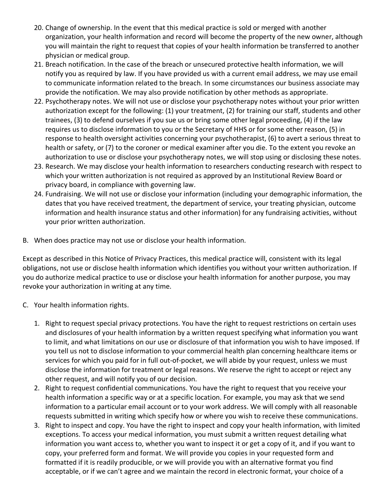- 20. Change of ownership. In the event that this medical practice is sold or merged with another organization, your health information and record will become the property of the new owner, although you will maintain the right to request that copies of your health information be transferred to another physician or medical group.
- 21. Breach notification. In the case of the breach or unsecured protective health information, we will notify you as required by law. If you have provided us with a current email address, we may use email to communicate information related to the breach. In some circumstances our business associate may provide the notification. We may also provide notification by other methods as appropriate.
- 22. Psychotherapy notes. We will not use or disclose your psychotherapy notes without your prior written authorization except for the following: (1) your treatment, (2) for training our staff, students and other trainees, (3) to defend ourselves if you sue us or bring some other legal proceeding, (4) if the law requires us to disclose information to you or the Secretary of HHS or for some other reason, (5) in response to health oversight activities concerning your psychotherapist, (6) to avert a serious threat to health or safety, or (7) to the coroner or medical examiner after you die. To the extent you revoke an authorization to use or disclose your psychotherapy notes, we will stop using or disclosing these notes.
- 23. Research. We may disclose your health information to researchers conducting research with respect to which your written authorization is not required as approved by an Institutional Review Board or privacy board, in compliance with governing law.
- 24. Fundraising. We will not use or disclose your information (including your demographic information, the dates that you have received treatment, the department of service, your treating physician, outcome information and health insurance status and other information) for any fundraising activities, without your prior written authorization.
- B. When does practice may not use or disclose your health information.

Except as described in this Notice of Privacy Practices, this medical practice will, consistent with its legal obligations, not use or disclose health information which identifies you without your written authorization. If you do authorize medical practice to use or disclose your health information for another purpose, you may revoke your authorization in writing at any time.

- C. Your health information rights.
	- 1. Right to request special privacy protections. You have the right to request restrictions on certain uses and disclosures of your health information by a written request specifying what information you want to limit, and what limitations on our use or disclosure of that information you wish to have imposed. If you tell us not to disclose information to your commercial health plan concerning healthcare items or services for which you paid for in full out-of-pocket, we will abide by your request, unless we must disclose the information for treatment or legal reasons. We reserve the right to accept or reject any other request, and will notify you of our decision.
	- 2. Right to request confidential communications. You have the right to request that you receive your health information a specific way or at a specific location. For example, you may ask that we send information to a particular email account or to your work address. We will comply with all reasonable requests submitted in writing which specify how or where you wish to receive these communications.
	- 3. Right to inspect and copy. You have the right to inspect and copy your health information, with limited exceptions. To access your medical information, you must submit a written request detailing what information you want access to, whether you want to inspect it or get a copy of it, and if you want to copy, your preferred form and format. We will provide you copies in your requested form and formatted if it is readily producible, or we will provide you with an alternative format you find acceptable, or if we can't agree and we maintain the record in electronic format, your choice of a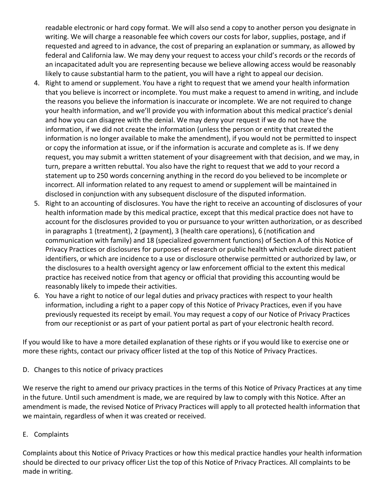readable electronic or hard copy format. We will also send a copy to another person you designate in writing. We will charge a reasonable fee which covers our costs for labor, supplies, postage, and if requested and agreed to in advance, the cost of preparing an explanation or summary, as allowed by federal and California law. We may deny your request to access your child's records or the records of an incapacitated adult you are representing because we believe allowing access would be reasonably likely to cause substantial harm to the patient, you will have a right to appeal our decision.

- 4. Right to amend or supplement. You have a right to request that we amend your health information that you believe is incorrect or incomplete. You must make a request to amend in writing, and include the reasons you believe the information is inaccurate or incomplete. We are not required to change your health information, and we'll provide you with information about this medical practice's denial and how you can disagree with the denial. We may deny your request if we do not have the information, if we did not create the information (unless the person or entity that created the information is no longer available to make the amendment), if you would not be permitted to inspect or copy the information at issue, or if the information is accurate and complete as is. If we deny request, you may submit a written statement of your disagreement with that decision, and we may, in turn, prepare a written rebuttal. You also have the right to request that we add to your record a statement up to 250 words concerning anything in the record do you believed to be incomplete or incorrect. All information related to any request to amend or supplement will be maintained in disclosed in conjunction with any subsequent disclosure of the disputed information.
- 5. Right to an accounting of disclosures. You have the right to receive an accounting of disclosures of your health information made by this medical practice, except that this medical practice does not have to account for the disclosures provided to you or pursuance to your written authorization, or as described in paragraphs 1 (treatment), 2 (payment), 3 (health care operations), 6 (notification and communication with family) and 18 (specialized government functions) of Section A of this Notice of Privacy Practices or disclosures for purposes of research or public health which exclude direct patient identifiers, or which are incidence to a use or disclosure otherwise permitted or authorized by law, or the disclosures to a health oversight agency or law enforcement official to the extent this medical practice has received notice from that agency or official that providing this accounting would be reasonably likely to impede their activities.
- 6. You have a right to notice of our legal duties and privacy practices with respect to your health information, including a right to a paper copy of this Notice of Privacy Practices, even if you have previously requested its receipt by email. You may request a copy of our Notice of Privacy Practices from our receptionist or as part of your patient portal as part of your electronic health record.

If you would like to have a more detailed explanation of these rights or if you would like to exercise one or more these rights, contact our privacy officer listed at the top of this Notice of Privacy Practices.

D. Changes to this notice of privacy practices

We reserve the right to amend our privacy practices in the terms of this Notice of Privacy Practices at any time in the future. Until such amendment is made, we are required by law to comply with this Notice. After an amendment is made, the revised Notice of Privacy Practices will apply to all protected health information that we maintain, regardless of when it was created or received.

E. Complaints

Complaints about this Notice of Privacy Practices or how this medical practice handles your health information should be directed to our privacy officer List the top of this Notice of Privacy Practices. All complaints to be made in writing.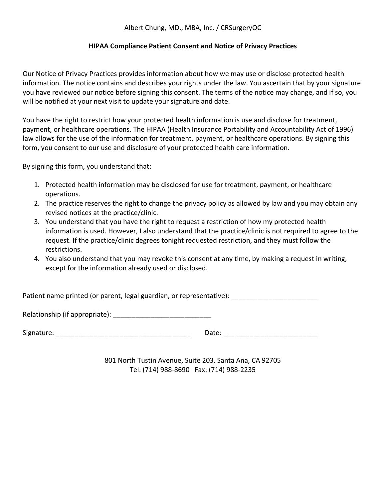# Albert Chung, MD., MBA, Inc. / CRSurgeryOC

## **HIPAA Compliance Patient Consent and Notice of Privacy Practices**

Our Notice of Privacy Practices provides information about how we may use or disclose protected health information. The notice contains and describes your rights under the law. You ascertain that by your signature you have reviewed our notice before signing this consent. The terms of the notice may change, and if so, you will be notified at your next visit to update your signature and date.

You have the right to restrict how your protected health information is use and disclose for treatment, payment, or healthcare operations. The HIPAA (Health Insurance Portability and Accountability Act of 1996) law allows for the use of the information for treatment, payment, or healthcare operations. By signing this form, you consent to our use and disclosure of your protected health care information.

By signing this form, you understand that:

- 1. Protected health information may be disclosed for use for treatment, payment, or healthcare operations.
- 2. The practice reserves the right to change the privacy policy as allowed by law and you may obtain any revised notices at the practice/clinic.
- 3. You understand that you have the right to request a restriction of how my protected health information is used. However, I also understand that the practice/clinic is not required to agree to the request. If the practice/clinic degrees tonight requested restriction, and they must follow the restrictions.
- 4. You also understand that you may revoke this consent at any time, by making a request in writing, except for the information already used or disclosed.

Patient name printed (or parent, legal guardian, or representative):

Relationship (if appropriate): \_\_\_\_\_\_\_\_\_\_\_\_\_\_\_\_\_\_\_\_\_\_\_\_\_\_

Signature: \_\_\_\_\_\_\_\_\_\_\_\_\_\_\_\_\_\_\_\_\_\_\_\_\_\_\_\_\_\_\_\_\_\_\_\_ Date: \_\_\_\_\_\_\_\_\_\_\_\_\_\_\_\_\_\_\_\_\_\_\_\_\_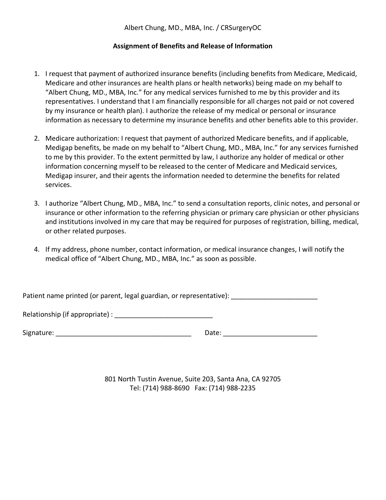Albert Chung, MD., MBA, Inc. / CRSurgeryOC

## **Assignment of Benefits and Release of Information**

- 1. I request that payment of authorized insurance benefits (including benefits from Medicare, Medicaid, Medicare and other insurances are health plans or health networks) being made on my behalf to "Albert Chung, MD., MBA, Inc." for any medical services furnished to me by this provider and its representatives. I understand that I am financially responsible for all charges not paid or not covered by my insurance or health plan). I authorize the release of my medical or personal or insurance information as necessary to determine my insurance benefits and other benefits able to this provider.
- 2. Medicare authorization: I request that payment of authorized Medicare benefits, and if applicable, Medigap benefits, be made on my behalf to "Albert Chung, MD., MBA, Inc." for any services furnished to me by this provider. To the extent permitted by law, I authorize any holder of medical or other information concerning myself to be released to the center of Medicare and Medicaid services, Medigap insurer, and their agents the information needed to determine the benefits for related services.
- 3. I authorize "Albert Chung, MD., MBA, Inc." to send a consultation reports, clinic notes, and personal or insurance or other information to the referring physician or primary care physician or other physicians and institutions involved in my care that may be required for purposes of registration, billing, medical, or other related purposes.
- 4. If my address, phone number, contact information, or medical insurance changes, I will notify the medical office of "Albert Chung, MD., MBA, Inc." as soon as possible.

Patient name printed (or parent, legal guardian, or representative):

Relationship (if appropriate) : \_\_\_\_\_\_\_\_\_\_\_\_\_\_\_\_\_\_\_\_\_\_\_\_\_\_

Signature: \_\_\_\_\_\_\_\_\_\_\_\_\_\_\_\_\_\_\_\_\_\_\_\_\_\_\_\_\_\_\_\_\_\_\_\_ Date: \_\_\_\_\_\_\_\_\_\_\_\_\_\_\_\_\_\_\_\_\_\_\_\_\_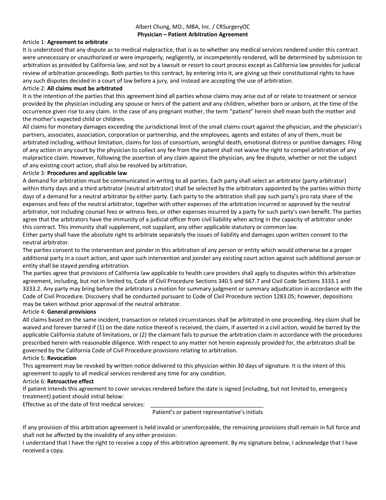### Albert Chung, MD., MBA, Inc. / CRSurgeryOC **Physician – Patient Arbitration Agreement**

### Article 1: **Agreement to arbitrate**

It is understood that any dispute as to medical malpractice, that is as to whether any medical services rendered under this contract were unnecessary or unauthorized or were improperly, negligently, or incompetently rendered, will be determined by submission to arbitration as provided by California law, and not by a lawsuit or resort to court process except as California law provides for judicial review of arbitration proceedings. Both parties to this contract, by entering into it, are giving up their constitutional rights to have any such disputes decided in a court of law before a jury, and instead are accepting the use of arbitration.

#### Article 2: **All claims must be arbitrated**

It is the intention of the parties that this agreement bind all parties whose claims may arise out of or relate to treatment or service provided by the physician including any spouse or heirs of the patient and any children, whether born or unborn, at the time of the occurrence given rise to any claim. In the case of any pregnant mother, the term "patient" herein shell mean both the mother and the mother's expected child or children.

All claims for monetary damages exceeding the jurisdictional limit of the small claims court against the physician, and the physician's partners, associates, association, corporation or partnership, and the employees, agents and estates of any of them, must be arbitrated including, without limitation, claims for loss of consortium, wrongful death, emotional distress or punitive damages. Filing of any action in any court by the physician to collect any fee from the patient shall not waive the right to compel arbitration of any malpractice claim. However, following the assertion of any claim against the physician, any fee dispute, whether or not the subject of any existing court action, shall also be resolved by arbitration.

#### Article 3: **Procedures and applicable law**

A demand for arbitration must be communicated in writing to all parties. Each party shall select an arbitrator (party arbitrator) within thirty days and a third arbitrator (neutral arbitrator) shall be selected by the arbitrators appointed by the parties within thirty days of a demand for a neutral arbitrator by either party. Each party to the arbitration shall pay such party's pro rata share of the expenses and fees of the neutral arbitrator, together with other expenses of the arbitration incurred or approved by the neutral arbitrator, not including counsel fees or witness fees, or other expenses incurred by a party for such party's own benefit. The parties agree that the arbitrators have the immunity of a judicial officer from civil liability when acting in the capacity of arbitrator under this contract. This immunity shall supplement, not supplant, any other applicable statutory or common law.

Either party shall have the absolute right to arbitrate separately the issues of liability and damages upon written consent to the neutral arbitrator.

The parties consent to the intervention and joinder in this arbitration of any person or entity which would otherwise be a proper additional party in a court action, and upon such intervention and joinder any existing court action against such additional person or entity shall be stayed pending arbitration.

The parties agree that provisions of California law applicable to health care providers shall apply to disputes within this arbitration agreement, including, but not in limited to, Code of Civil Procedure Sections 340.5 and 667.7 and Civil Code Sections 3333.1 and 3333.2. Any party may bring before the arbitrators a motion for summary judgment or summary adjudication in accordance with the Code of Civil Procedure. Discovery shall be conducted pursuant to Code of Civil Procedure section 1283.05; however, depositions may be taken without prior approval of the neutral arbitrator.

### Article 4: **General provisions**

All claims based on the same incident, transaction or related circumstances shall be arbitrated in one proceeding. Hey claim shall be waived and forever barred if (1) on the date notice thereof is received, the claim, if asserted in a civil action, would be barred by the applicable California statute of limitations, or (2) the claimant fails to pursue the arbitration claim in accordance with the procedures prescribed herein with reasonable diligence. With respect to any matter not herein expressly provided for, the arbitrators shall be governed by the California Code of Civil Procedure provisions relating to arbitration.

#### Article 5: **Revocation**

This agreement may be revoked by written notice delivered to this physician within 30 days of signature. It is the intent of this agreement to apply to all medical services rendered any time for any condition.

### Article 6: **Retroactive effect**

If patient intends this agreement to cover services rendered before the date is signed (including, but not limited to, emergency treatment) patient should initial below:

Effective as of the date of first medical services:

Patient's or patient representative's initials

If any provision of this arbitration agreement is held invalid or unenforceable, the remaining provisions shall remain in full force and shall not be affected by the invalidity of any other provision.

I understand that I have the right to receive a copy of this arbitration agreement. By my signature below, I acknowledge that I have received a copy.